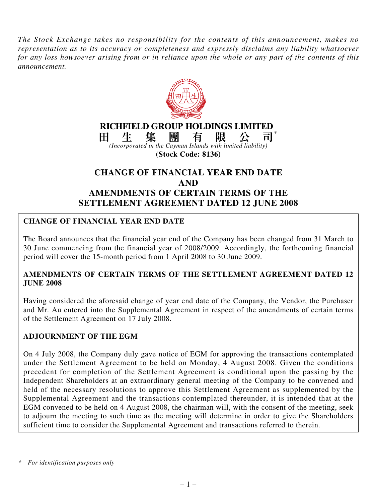*The Stock Exchange takes no responsibility for the contents of this announcement, makes no representation as to its accuracy or completeness and expressly disclaims any liability whatsoever for any loss howsoever arising from or in reliance upon the whole or any part of the contents of this announcement.*



## **AND**

# **AMENDMENTS OF CERTAIN TERMS OF THE SETTLEMENT AGREEMENT DATED 12 JUNE 2008**

# **CHANGE OF FINANCIAL YEAR END DATE**

The Board announces that the financial year end of the Company has been changed from 31 March to 30 June commencing from the financial year of 2008/2009. Accordingly, the forthcoming financial period will cover the 15-month period from 1 April 2008 to 30 June 2009.

### **AMENDMENTS OF CERTAIN TERMS OF THE SETTLEMENT AGREEMENT DATED 12 JUNE 2008**

Having considered the aforesaid change of year end date of the Company, the Vendor, the Purchaser and Mr. Au entered into the Supplemental Agreement in respect of the amendments of certain terms of the Settlement Agreement on 17 July 2008.

## **ADJOURNMENT OF THE EGM**

 $\overline{\phantom{a}}$ 

On 4 July 2008, the Company duly gave notice of EGM for approving the transactions contemplated under the Settlement Agreement to be held on Monday, 4 August 2008. Given the conditions precedent for completion of the Settlement Agreement is conditional upon the passing by the Independent Shareholders at an extraordinary general meeting of the Company to be convened and held of the necessary resolutions to approve this Settlement Agreement as supplemented by the Supplemental Agreement and the transactions contemplated thereunder, it is intended that at the EGM convened to be held on 4 August 2008, the chairman will, with the consent of the meeting, seek to adjourn the meeting to such time as the meeting will determine in order to give the Shareholders sufficient time to consider the Supplemental Agreement and transactions referred to therein.

*<sup>\*</sup>For identification purposes only*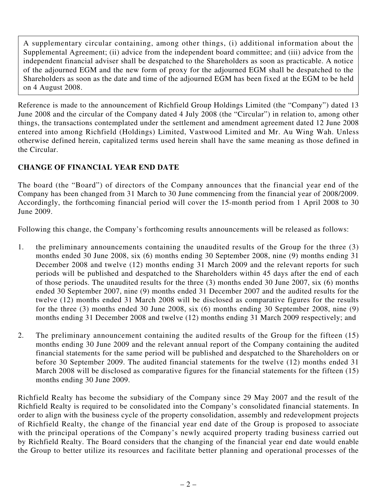A supplementary circular containing, among other things, (i) additional information about the Supplemental Agreement; (ii) advice from the independent board committee; and (iii) advice from the independent financial adviser shall be despatched to the Shareholders as soon as practicable. A notice of the adjourned EGM and the new form of proxy for the adjourned EGM shall be despatched to the Shareholders as soon as the date and time of the adjourned EGM has been fixed at the EGM to be held on 4 August 2008.

Reference is made to the announcement of Richfield Group Holdings Limited (the "Company") dated 13 June 2008 and the circular of the Company dated 4 July 2008 (the "Circular") in relation to, among other things, the transactions contemplated under the settlement and amendment agreement dated 12 June 2008 entered into among Richfield (Holdings) Limited, Vastwood Limited and Mr. Au Wing Wah. Unless otherwise defined herein, capitalized terms used herein shall have the same meaning as those defined in the Circular.

# **CHANGE OF FINANCIAL YEAR END DATE**

The board (the "Board") of directors of the Company announces that the financial year end of the Company has been changed from 31 March to 30 June commencing from the financial year of 2008/2009. Accordingly, the forthcoming financial period will cover the 15-month period from 1 April 2008 to 30 June 2009.

Following this change, the Company's forthcoming results announcements will be released as follows:

- 1. the preliminary announcements containing the unaudited results of the Group for the three (3) months ended 30 June 2008, six (6) months ending 30 September 2008, nine (9) months ending 31 December 2008 and twelve (12) months ending 31 March 2009 and the relevant reports for such periods will be published and despatched to the Shareholders within 45 days after the end of each of those periods. The unaudited results for the three (3) months ended 30 June 2007, six (6) months ended 30 September 2007, nine (9) months ended 31 December 2007 and the audited results for the twelve (12) months ended 31 March 2008 will be disclosed as comparative figures for the results for the three (3) months ended 30 June 2008, six (6) months ending 30 September 2008, nine (9) months ending 31 December 2008 and twelve (12) months ending 31 March 2009 respectively; and
- 2. The preliminary announcement containing the audited results of the Group for the fifteen (15) months ending 30 June 2009 and the relevant annual report of the Company containing the audited financial statements for the same period will be published and despatched to the Shareholders on or before 30 September 2009. The audited financial statements for the twelve (12) months ended 31 March 2008 will be disclosed as comparative figures for the financial statements for the fifteen (15) months ending 30 June 2009.

Richfield Realty has become the subsidiary of the Company since 29 May 2007 and the result of the Richfield Realty is required to be consolidated into the Company's consolidated financial statements. In order to align with the business cycle of the property consolidation, assembly and redevelopment projects of Richfield Realty, the change of the financial year end date of the Group is proposed to associate with the principal operations of the Company's newly acquired property trading business carried out by Richfield Realty. The Board considers that the changing of the financial year end date would enable the Group to better utilize its resources and facilitate better planning and operational processes of the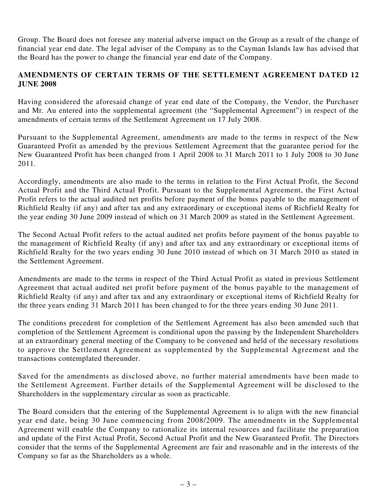Group. The Board does not foresee any material adverse impact on the Group as a result of the change of financial year end date. The legal adviser of the Company as to the Cayman Islands law has advised that the Board has the power to change the financial year end date of the Company.

### **AMENDMENTS OF CERTAIN TERMS OF THE SETTLEMENT AGREEMENT DATED 12 JUNE 2008**

Having considered the aforesaid change of year end date of the Company, the Vendor, the Purchaser and Mr. Au entered into the supplemental agreement (the "Supplemental Agreement") in respect of the amendments of certain terms of the Settlement Agreement on 17 July 2008.

Pursuant to the Supplemental Agreement, amendments are made to the terms in respect of the New Guaranteed Profit as amended by the previous Settlement Agreement that the guarantee period for the New Guaranteed Profit has been changed from 1 April 2008 to 31 March 2011 to 1 July 2008 to 30 June 2011.

Accordingly, amendments are also made to the terms in relation to the First Actual Profit, the Second Actual Profit and the Third Actual Profit. Pursuant to the Supplemental Agreement, the First Actual Profit refers to the actual audited net profits before payment of the bonus payable to the management of Richfield Realty (if any) and after tax and any extraordinary or exceptional items of Richfield Realty for the year ending 30 June 2009 instead of which on 31 March 2009 as stated in the Settlement Agreement.

The Second Actual Profit refers to the actual audited net profits before payment of the bonus payable to the management of Richfield Realty (if any) and after tax and any extraordinary or exceptional items of Richfield Realty for the two years ending 30 June 2010 instead of which on 31 March 2010 as stated in the Settlement Agreement.

Amendments are made to the terms in respect of the Third Actual Profit as stated in previous Settlement Agreement that actual audited net profit before payment of the bonus payable to the management of Richfield Realty (if any) and after tax and any extraordinary or exceptional items of Richfield Realty for the three years ending 31 March 2011 has been changed to for the three years ending 30 June 2011.

The conditions precedent for completion of the Settlement Agreement has also been amended such that completion of the Settlement Agreement is conditional upon the passing by the Independent Shareholders at an extraordinary general meeting of the Company to be convened and held of the necessary resolutions to approve the Settlement Agreement as supplemented by the Supplemental Agreement and the transactions contemplated thereunder.

Saved for the amendments as disclosed above, no further material amendments have been made to the Settlement Agreement. Further details of the Supplemental Agreement will be disclosed to the Shareholders in the supplementary circular as soon as practicable.

The Board considers that the entering of the Supplemental Agreement is to align with the new financial year end date, being 30 June commencing from 2008/2009. The amendments in the Supplemental Agreement will enable the Company to rationalize its internal resources and facilitate the preparation and update of the First Actual Profit, Second Actual Profit and the New Guaranteed Profit. The Directors consider that the terms of the Supplemental Agreement are fair and reasonable and in the interests of the Company so far as the Shareholders as a whole.